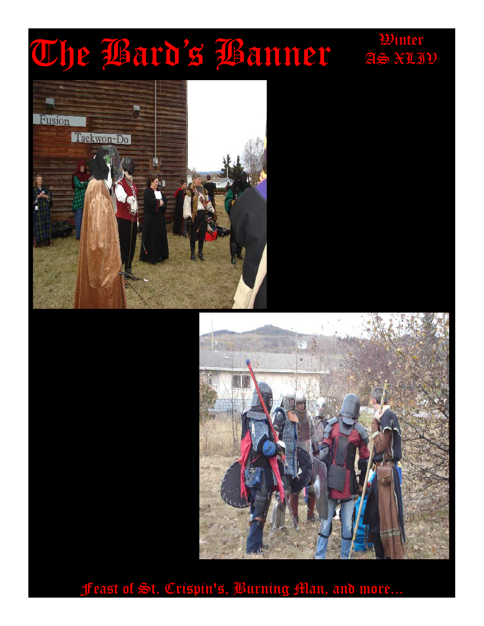# Whe Bard's Banner as \*11





AS XLIV

Feast of St. Crispin's, Burning Man, and more...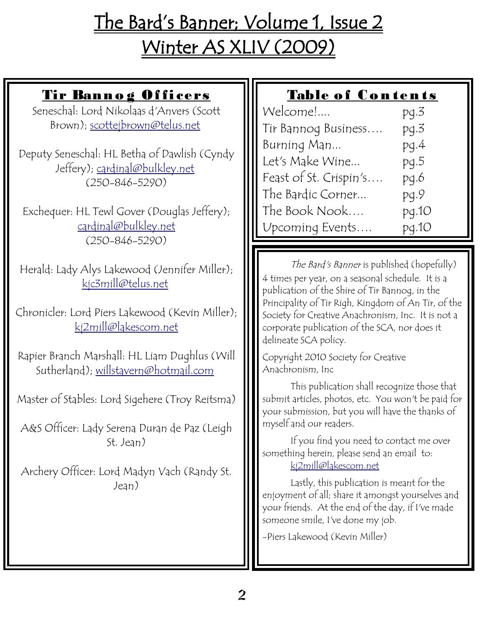# The Bard's Banner; Volume 1, Issue 2 Winter AS XLIV (2009)

## Tir Banno g Of ficers

Seneschal: Lord Nikolaas d'Anvers (Scott Brown); [scottejbrown@telus.net](mailto:scottejbrown@telus.net)

Deputy Seneschal: HL Betha of Dawlish (Cyndy Jeffery); [cardinal@bulkley.net](mailto:cardinal@bulkley.net) (250-846-5290)

Exchequer: HL Tewl Gover (Douglas Jeffery); [cardinal@bulkley.net](mailto:cardinal@bulkley.net) (250-846-5290)

Herald: Lady Alys Lakewood (Jennifer Miller); [kjc3mill@telus.net](mailto:kjc3mill@telus.net)

Chronicler: Lord Piers Lakewood (Kevin Miller); [kj2mill@lakescom.net](mailto:kj2mill@lakescom.net)

Rapier Branch Marshall: HL Liam Dughlus (Will Sutherland); [willstavern@hotmail.com](mailto:willstavern@hotmail.com)

Master of Stables: Lord Sigehere (Troy Reitsma)

A&S Officer: Lady Serena Duran de Paz (Leigh St. Jean)

Archery Officer: Lord Madyn Vach (Randy St. Jean)

#### Table of Contents

| Welcome!               | pg.3  |
|------------------------|-------|
| Tir Bannog Business    | pg.3  |
| Burning Man            | pg.4  |
| Let's Make Wine        | pg.5  |
| Feast of St. Crispin's | pg.6  |
| The Bardic Corner      | pg.9  |
| The Book Nook          | pg.10 |
| Upcoming Events        | pg.10 |

The Bard's Banner is published (hopefully) 4 times per year, on a seasonal schedule. It is a publication of the Shire of Tir Bannog, in the Principality of Tir Righ, Kingdom of An Tir, of the Society for Creative Anachronism, Inc. It is not a corporate publication of the SCA, nor does it delineate SCA policy.

Copyright 2010 Society for Creative Anachronism, Inc

This publication shall recognize those that submit articles, photos, etc. You won't be paid for your submission, but you will have the thanks of myself and our readers.

If you find you need to contact me over something herein, please send an email to: [kj2mill@lakescom.net](mailto:kj2mill@lakescom.net)

Lastly, this publication is meant for the enjoyment of all; share it amongst yourselves and your friends. At the end of the day, if I've made someone smile, I've done my job.

-Piers Lakewood (Kevin Miller)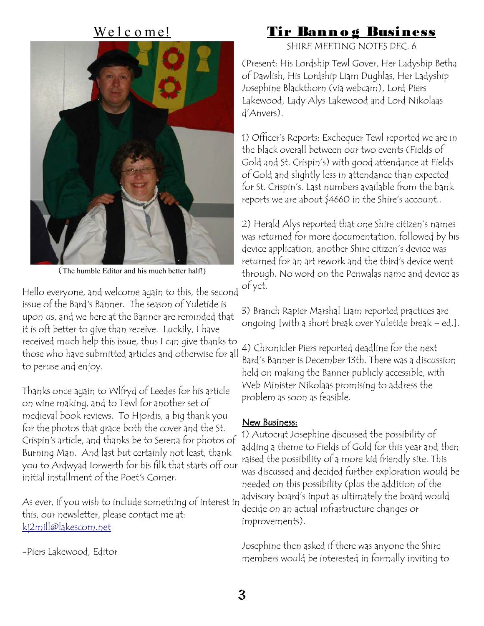#### We l c o me!



(The humble Editor and his much better half!)

Hello everyone, and welcome again to this, the second issue of the Bard's Banner. The season of Yuletide is upon us, and we here at the Banner are reminded that it is oft better to give than receive. Luckily, I have received much help this issue, thus I can give thanks to those who have submitted articles and otherwise for all to peruse and enjoy.

Thanks once again to Wlfryd of Leedes for his article on wine making, and to Tewl for another set of medieval book reviews. To Hjordis, a big thank you for the photos that grace both the cover and the St. Crispin's article, and thanks be to Serena for photos of Burning Man. And last but certainly not least, thank you to Ardwyad Iorwerth for his filk that starts off our initial installment of the Poet's Corner.

As ever, if you wish to include something of interest in this, our newsletter, please contact me at: [kj2mill@lakescom.net](mailto:kj2mill@lakescom.net)

-Piers Lakewood, Editor

#### Tir Banno g Business

SHIRE MEETING NOTES DEC. 6

(Present: His Lordship Tewl Gover, Her Ladyship Betha of Dawlish, His Lordship Liam Dughlas, Her Ladyship Josephine Blackthorn (via webcam), Lord Piers Lakewood, Lady Alys Lakewood and Lord Nikolaas d'Anvers).

1) Officer's Reports: Exchequer Tewl reported we are in the black overall between our two events (Fields of Gold and St. Crispin's) with good attendance at Fields of Gold and slightly less in attendance than expected for St. Crispin's. Last numbers available from the bank reports we are about \$4660 in the Shire's account..

2) Herald Alys reported that one Shire citizen's names was returned for more documentation, followed by his device application, another Shire citizen's device was returned for an art rework and the third's device went through. No word on the Penwalas name and device as of yet.

3) Branch Rapier Marshal Liam reported practices are ongoing [with a short break over Yuletide break – ed.].

4) Chronicler Piers reported deadline for the next Bard's Banner is December 13th. There was a discussion held on making the Banner publicly accessible, with Web Minister Nikolaas promising to address the problem as soon as feasible.

#### New Business:

1) Autocrat Josephine discussed the possibility of adding a theme to Fields of Gold for this year and then raised the possibility of a more kid friendly site. This was discussed and decided further exploration would be needed on this possibility (plus the addition of the advisory board's input as ultimately the board would decide on an actual infrastructure changes or improvements).

Josephine then asked if there was anyone the Shire members would be interested in formally inviting to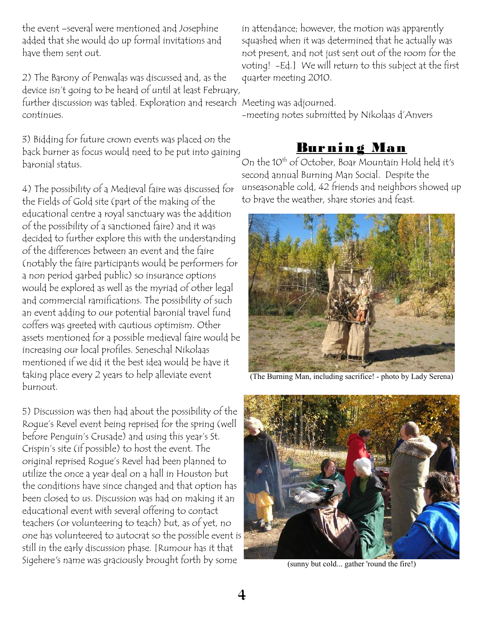the event –several were mentioned and Josephine added that she would do up formal invitations and have them sent out.

2) The Barony of Penwalas was discussed and, as the device isn't going to be heard of until at least February, further discussion was tabled. Exploration and research Meeting was adjourned. continues.

3) Bidding for future crown events was placed on the back burner as focus would need to be put into gaining baronial status.

4) The possibility of a Medieval faire was discussed for the Fields of Gold site (part of the making of the educational centre a royal sanctuary was the addition of the possibility of a sanctioned faire) and it was decided to further explore this with the understanding of the differences between an event and the faire (notably the faire participants would be performers for a non period garbed public) so insurance options would be explored as well as the myriad of other legal and commercial ramifications. The possibility of such an event adding to our potential baronial travel fund coffers was greeted with cautious optimism. Other assets mentioned for a possible medieval faire would be increasing our local profiles. Seneschal Nikolaas mentioned if we did it the best idea would be have it taking place every 2 years to help alleviate event burnout.

5) Discussion was then had about the possibility of the Rogue's Revel event being reprised for the spring (well before Penguin's Crusade) and using this year's St. Crispin's site (if possible) to host the event. The original reprised Rogue's Revel had been planned to utilize the once a year deal on a hall in Houston but the conditions have since changed and that option has been closed to us. Discussion was had on making it an educational event with several offering to contact teachers (or volunteering to teach) but, as of yet, no one has volunteered to autocrat so the possible event is still in the early discussion phase. [Rumour has it that Sigehere's name was graciously brought forth by some

in attendance; however, the motion was apparently squashed when it was determined that he actually was not present, and not just sent out of the room for the voting! -Ed.] We will return to this subject at the first quarter meeting 2010.

-meeting notes submitted by Nikolaas d'Anvers

# <u>Burning Man</u>

On the 10th of October, Boar Mountain Hold held it's second annual Burning Man Social. Despite the unseasonable cold, 42 friends and neighbors showed up to brave the weather, share stories and feast.



(The Burning Man, including sacrifice! - photo by Lady Serena)



(sunny but cold... gather 'round the fire!)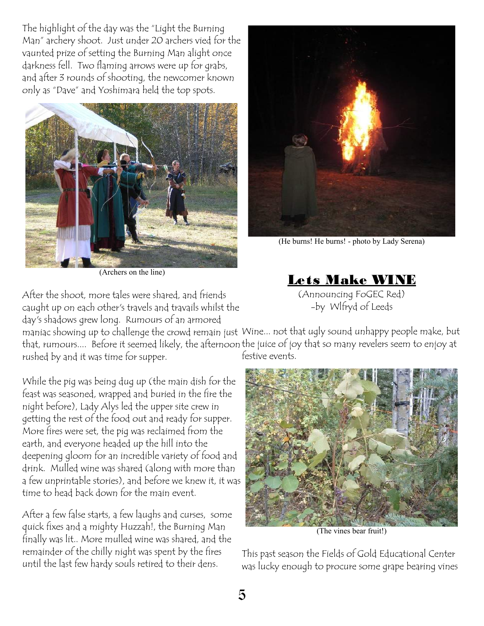The highlight of the day was the "Light the Burning Man" archery shoot. Just under 20 archers vied for the vaunted prize of setting the Burning Man alight once darkness fell. Two flaming arrows were up for grabs, and after 3 rounds of shooting, the newcomer known only as "Dave" and Yoshimara held the top spots.



(Archers on the line)

After the shoot, more tales were shared, and friends caught up on each other's travels and travails whilst the day's shadows grew long. Rumours of an armored

(He burns! He burns! - photo by Lady Serena)

Lets Make WINE (Announcing FoGEC Red) -by Wlfryd of Leeds

maniac showing up to challenge the crowd remain just Wine... not that ugly sound unhappy people make, but that, rumours.... Before it seemed likely, the afternoon the juice of joy that so many revelers seem to enjoy at rushed by and it was time for supper. festive events.

While the pig was being dug up (the main dish for the feast was seasoned, wrapped and buried in the fire the night before), Lady Alys led the upper site crew in getting the rest of the food out and ready for supper. More fires were set, the pig was reclaimed from the earth, and everyone headed up the hill into the deepening gloom for an incredible variety of food and drink. Mulled wine was shared (along with more than a few unprintable stories), and before we knew it, it was time to head back down for the main event.

After a few false starts, a few laughs and curses, some quick fixes and a mighty Huzzah!, the Burning Man finally was lit.. More mulled wine was shared, and the remainder of the chilly night was spent by the fires until the last few hardy souls retired to their dens.



(The vines bear fruit!)

This past season the Fields of Gold Educational Center was lucky enough to procure some grape bearing vines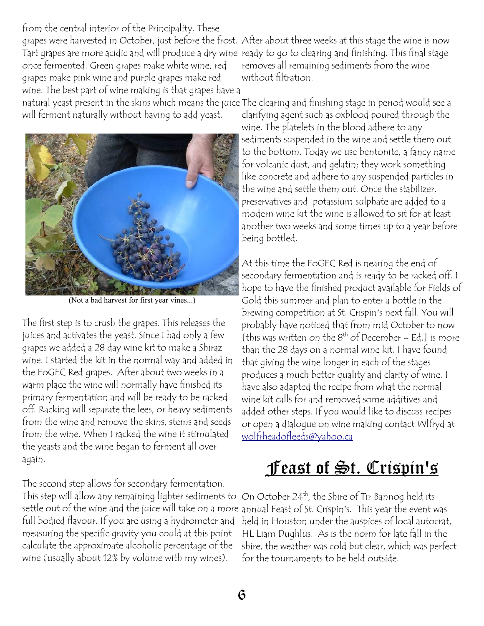from the central interior of the Principality. These grapes were harvested in October, just before the frost. After about three weeks at this stage the wine is now Tart grapes are more acidic and will produce a dry wine ready to go to clearing and finishing. This final stage once fermented. Green grapes make white wine, red grapes make pink wine and purple grapes make red wine. The best part of wine making is that grapes have a

will ferment naturally without having to add yeast.



(Not a bad harvest for first year vines...)

The first step is to crush the grapes. This releases the juices and activates the yeast. Since I had only a few grapes we added a 28 day wine kit to make a Shiraz wine. I started the kit in the normal way and added in the FoGEC Red grapes. After about two weeks in a warm place the wine will normally have finished its primary fermentation and will be ready to be racked off. Racking will separate the lees, or heavy sediments from the wine and remove the skins, stems and seeds from the wine. When I racked the wine it stimulated the yeasts and the wine began to ferment all over again.

The second step allows for secondary fermentation. This step will allow any remaining lighter sediments to On October 24<sup>th</sup>, the Shire of Tir Bannog held its settle out of the wine and the juice will take on a more annual Feast of St. Crispin's. This year the event was full bodied flavour. If you are using a hydrometer and measuring the specific gravity you could at this point calculate the approximate alcoholic percentage of the wine (usually about 12% by volume with my wines).

removes all remaining sediments from the wine without filtration.

natural yeast present in the skins which means the juice The clearing and finishing stage in period would see a clarifying agent such as oxblood poured through the wine. The platelets in the blood adhere to any sediments suspended in the wine and settle them out to the bottom. Today we use bentonite, a fancy name for volcanic dust, and gelatin; they work something like concrete and adhere to any suspended particles in the wine and settle them out. Once the stabilizer,

preservatives and potassium sulphate are added to a modern wine kit the wine is allowed to sit for at least another two weeks and some times up to a year before being bottled.

At this time the FoGEC Red is nearing the end of secondary fermentation and is ready to be racked off. I hope to have the finished product available for Fields of Gold this summer and plan to enter a bottle in the brewing competition at St. Crispin's next fall. You will probably have noticed that from mid October to now [this was written on the  $8<sup>th</sup>$  of December – Ed.] is more than the 28 days on a normal wine kit. I have found that giving the wine longer in each of the stages produces a much better quality and clarity of wine. I have also adapted the recipe from what the normal wine kit calls for and removed some additives and added other steps. If you would like to discuss recipes or open a dialogue on wine making contact Wlfryd at [wolfrheadofleeds@yahoo.ca](mailto:wolfrheadofleeds@yahoo.ca)

# <u>**ffeast of St. Crispin's**</u>

held in Houston under the auspices of local autocrat, HL Liam Dughlus. As is the norm for late fall in the shire, the weather was cold but clear, which was perfect for the tournaments to be held outside.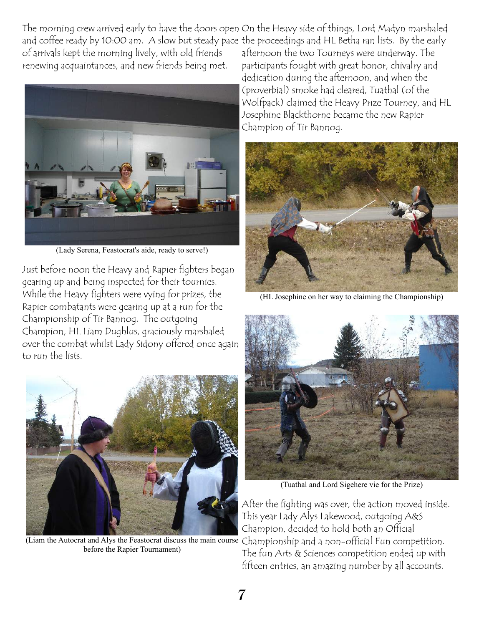The morning crew arrived early to have the doors open On the Heavy side of things, Lord Madyn marshaled and coffee ready by 10:00 am. A slow but steady pace the proceedings and HL Betha ran lists. By the early of arrivals kept the morning lively, with old friends renewing acquaintances, and new friends being met.



(Lady Serena, Feastocrat's aide, ready to serve!)

Just before noon the Heavy and Rapier fighters began gearing up and being inspected for their tournies. While the Heavy fighters were vying for prizes, the Rapier combatants were gearing up at a run for the Championship of Tir Bannog. The outgoing Champion, HL Liam Dughlus, graciously marshaled over the combat whilst Lady Sidony offered once again to run the lists.



(Liam the Autocrat and Alys the Feastocrat discuss the main course Championship and a non-official Fun competition. before the Rapier Tournament)

afternoon the two Tourneys were underway. The participants fought with great honor, chivalry and dedication during the afternoon, and when the (proverbial) smoke had cleared, Tuathal (of the Wolfpack) claimed the Heavy Prize Tourney, and HL Josephine Blackthorne became the new Rapier Champion of Tir Bannog.



(HL Josephine on her way to claiming the Championship)



(Tuathal and Lord Sigehere vie for the Prize)

After the fighting was over, the action moved inside. This year Lady Alys Lakewood, outgoing A&S Champion, decided to hold both an Official The fun Arts & Sciences competition ended up with fifteen entries, an amazing number by all accounts.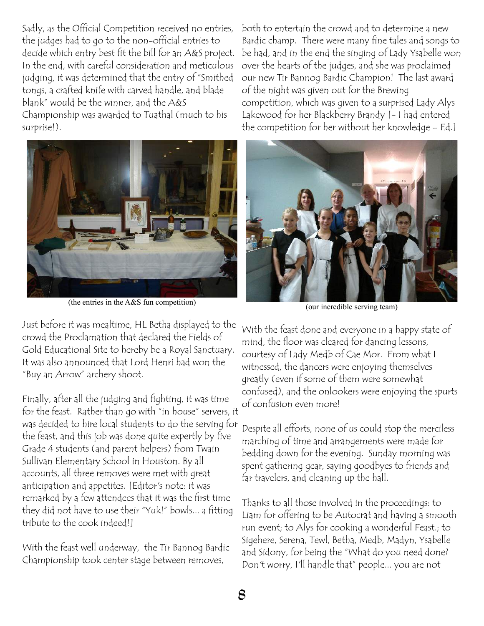Sadly, as the Official Competition received no entries, the judges had to go to the non-official entries to decide which entry best fit the bill for an A&S project. In the end, with careful consideration and meticulous judging, it was determined that the entry of "Smithed tongs, a crafted knife with carved handle, and blade blank" would be the winner, and the A&S Championship was awarded to Tuathal (much to his surprise!).



(the entries in the A&S fun competition)

Just before it was mealtime, HL Betha displayed to the crowd the Proclamation that declared the Fields of Gold Educational Site to hereby be a Royal Sanctuary. It was also announced that Lord Henri had won the "Buy an Arrow" archery shoot.

Finally, after all the judging and fighting, it was time for the feast. Rather than go with "in house" servers, it was decided to hire local students to do the serving for the feast, and this job was done quite expertly by five Grade 4 students (and parent helpers) from Twain Sullivan Elementary School in Houston. By all accounts, all three removes were met with great anticipation and appetites. [Editor's note: it was remarked by a few attendees that it was the first time they did not have to use their "Yuk!" bowls... a fitting tribute to the cook indeed!]

With the feast well underway, the Tir Bannog Bardic Championship took center stage between removes,

both to entertain the crowd and to determine a new Bardic champ. There were many fine tales and songs to be had, and in the end the singing of Lady Ysabelle won over the hearts of the judges, and she was proclaimed our new Tir Bannog Bardic Champion! The last award of the night was given out for the Brewing competition, which was given to a surprised Lady Alys Lakewood for her Blackberry Brandy [- I had entered the competition for her without her knowledge – Ed.]



(our incredible serving team)

With the feast done and everyone in a happy state of mind, the floor was cleared for dancing lessons, courtesy of Lady Medb of Cae Mor. From what I witnessed, the dancers were enjoying themselves greatly (even if some of them were somewhat confused), and the onlookers were enjoying the spurts of confusion even more!

Despite all efforts, none of us could stop the merciless marching of time and arrangements were made for bedding down for the evening. Sunday morning was spent gathering gear, saying goodbyes to friends and far travelers, and cleaning up the hall.

Thanks to all those involved in the proceedings: to Liam for offering to be Autocrat and having a smooth run event; to Alys for cooking a wonderful Feast.; to Sigehere, Serena, Tewl, Betha, Medb, Madyn, Ysabelle and Sidony, for being the "What do you need done? Don't worry, I'll handle that" people... you are not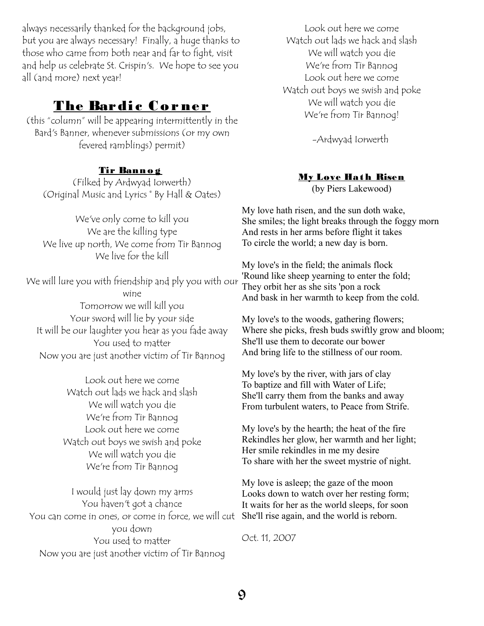always necessarily thanked for the background jobs, but you are always necessary! Finally, a huge thanks to those who came from both near and far to fight, visit and help us celebrate St. Crispin's. We hope to see you all (and more) next year!

#### The Bardic Cor ner

(this "column" will be appearing intermittently in the Bard's Banner, whenever submissions (or my own fevered ramblings) permit)

#### Tir Banno g

(Filked by Ardwyad Iorwerth) (Original Music and Lyrics © By Hall & Oates)

We've only come to kill you We are the killing type We live up north, We come from Tir Bannog We live for the kill

We will lure you with friendship and ply you with our wine Tomorrow we will kill you Your sword will lie by your side It will be our laughter you hear as you fade away You used to matter Now you are just another victim of Tir Bannog

> Look out here we come Watch out lads we hack and slash We will watch you die We're from Tir Bannog Look out here we come Watch out boys we swish and poke We will watch you die We're from Tir Bannog

I would just lay down my arms You haven't got a chance You can come in ones, or come in force, we will cut She'll rise again, and the world is reborn. you down You used to matter Now you are just another victim of Tir Bannog

Look out here we come Watch out lads we hack and slash We will watch you die We're from Tir Bannog Look out here we come Watch out boys we swish and poke We will watch you die We're from Tir Bannog!

-Ardwyad Iorwerth

#### My Love Hath Risen

(by Piers Lakewood)

My love hath risen, and the sun doth wake, She smiles; the light breaks through the foggy morn And rests in her arms before flight it takes To circle the world; a new day is born.

My love's in the field; the animals flock 'Round like sheep yearning to enter the fold; They orbit her as she sits 'pon a rock And bask in her warmth to keep from the cold.

My love's to the woods, gathering flowers; Where she picks, fresh buds swiftly grow and bloom; She'll use them to decorate our bower And bring life to the stillness of our room.

My love's by the river, with jars of clay To baptize and fill with Water of Life; She'll carry them from the banks and away From turbulent waters, to Peace from Strife.

My love's by the hearth; the heat of the fire Rekindles her glow, her warmth and her light; Her smile rekindles in me my desire To share with her the sweet mystrie of night.

My love is asleep; the gaze of the moon Looks down to watch over her resting form; It waits for her as the world sleeps, for soon

Oct. 11, 2007